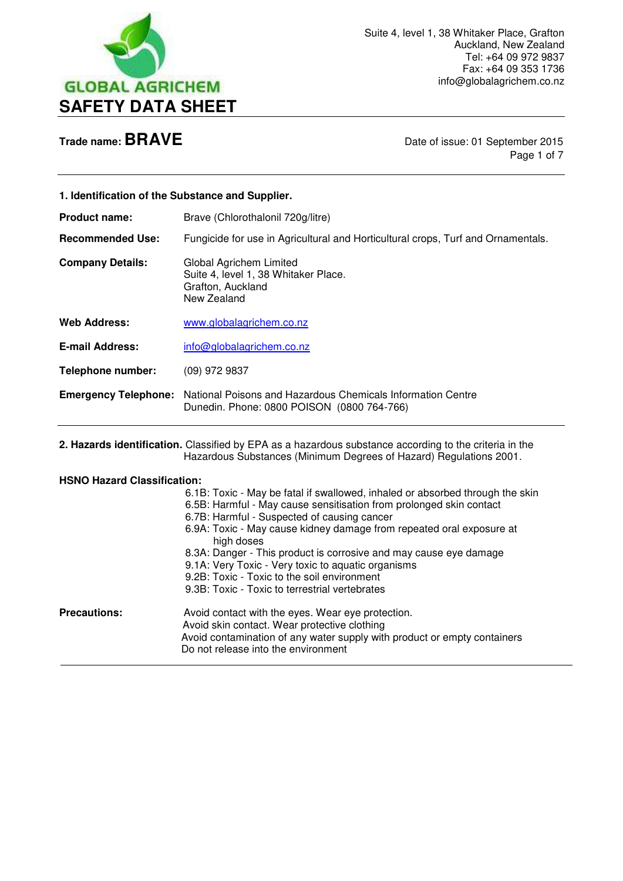

 $\overline{a}$ 

**Trade name: BRAVE Date of issue: 01 September 2015** Page 1 of 7

| 1. Identification of the Substance and Supplier.          |                                                                                                                                                                                                                                                                                                                                                                                                                                                                                                                                                                            |
|-----------------------------------------------------------|----------------------------------------------------------------------------------------------------------------------------------------------------------------------------------------------------------------------------------------------------------------------------------------------------------------------------------------------------------------------------------------------------------------------------------------------------------------------------------------------------------------------------------------------------------------------------|
| <b>Product name:</b>                                      | Brave (Chlorothalonil 720g/litre)                                                                                                                                                                                                                                                                                                                                                                                                                                                                                                                                          |
| <b>Recommended Use:</b>                                   | Fungicide for use in Agricultural and Horticultural crops, Turf and Ornamentals.                                                                                                                                                                                                                                                                                                                                                                                                                                                                                           |
| <b>Company Details:</b>                                   | Global Agrichem Limited<br>Suite 4, level 1, 38 Whitaker Place.<br>Grafton, Auckland<br>New Zealand                                                                                                                                                                                                                                                                                                                                                                                                                                                                        |
| <b>Web Address:</b>                                       | www.globalagrichem.co.nz                                                                                                                                                                                                                                                                                                                                                                                                                                                                                                                                                   |
| <b>E-mail Address:</b>                                    | info@globalagrichem.co.nz                                                                                                                                                                                                                                                                                                                                                                                                                                                                                                                                                  |
| <b>Telephone number:</b>                                  | (09) 972 9837                                                                                                                                                                                                                                                                                                                                                                                                                                                                                                                                                              |
| <b>Emergency Telephone:</b>                               | National Poisons and Hazardous Chemicals Information Centre<br>Dunedin. Phone: 0800 POISON (0800 764-766)                                                                                                                                                                                                                                                                                                                                                                                                                                                                  |
|                                                           | 2. Hazards identification. Classified by EPA as a hazardous substance according to the criteria in the<br>Hazardous Substances (Minimum Degrees of Hazard) Regulations 2001.                                                                                                                                                                                                                                                                                                                                                                                               |
| <b>HSNO Hazard Classification:</b><br><b>Precautions:</b> | 6.1B: Toxic - May be fatal if swallowed, inhaled or absorbed through the skin<br>6.5B: Harmful - May cause sensitisation from prolonged skin contact<br>6.7B: Harmful - Suspected of causing cancer<br>6.9A: Toxic - May cause kidney damage from repeated oral exposure at<br>high doses<br>8.3A: Danger - This product is corrosive and may cause eye damage<br>9.1A: Very Toxic - Very toxic to aquatic organisms<br>9.2B: Toxic - Toxic to the soil environment<br>9.3B: Toxic - Toxic to terrestrial vertebrates<br>Avoid contact with the eyes. Wear eye protection. |
|                                                           | Avoid skin contact. Wear protective clothing<br>Avoid contamination of any water supply with product or empty containers<br>Do not release into the environment                                                                                                                                                                                                                                                                                                                                                                                                            |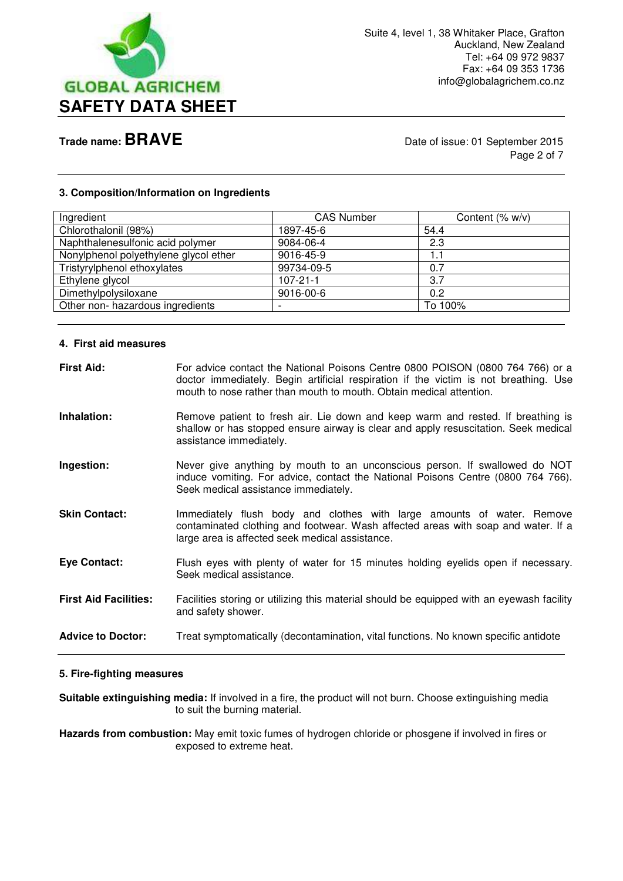

**Trade name: BRAVE Date of issue: 01 September 2015** Page 2 of 7

### **3. Composition/Information on Ingredients**

| Ingredient                            | <b>CAS Number</b> | Content $(\% w/v)$ |
|---------------------------------------|-------------------|--------------------|
| Chlorothalonil (98%)                  | 1897-45-6         | 54.4               |
| Naphthalenesulfonic acid polymer      | 9084-06-4         | 2.3                |
| Nonylphenol polyethylene glycol ether | 9016-45-9         | 1.1                |
| Tristyrylphenol ethoxylates           | 99734-09-5        | 0.7                |
| Ethylene glycol                       | $107 - 21 - 1$    | 3.7                |
| Dimethylpolysiloxane                  | 9016-00-6         | 0.2                |
| Other non- hazardous ingredients      |                   | To 100%            |
|                                       |                   |                    |

### **4. First aid measures**

| <b>First Aid:</b>            | For advice contact the National Poisons Centre 0800 POISON (0800 764 766) or a<br>doctor immediately. Begin artificial respiration if the victim is not breathing. Use<br>mouth to nose rather than mouth to mouth. Obtain medical attention. |
|------------------------------|-----------------------------------------------------------------------------------------------------------------------------------------------------------------------------------------------------------------------------------------------|
| Inhalation:                  | Remove patient to fresh air. Lie down and keep warm and rested. If breathing is<br>shallow or has stopped ensure airway is clear and apply resuscitation. Seek medical<br>assistance immediately.                                             |
| Ingestion:                   | Never give anything by mouth to an unconscious person. If swallowed do NOT<br>induce vomiting. For advice, contact the National Poisons Centre (0800 764 766).<br>Seek medical assistance immediately.                                        |
| <b>Skin Contact:</b>         | Immediately flush body and clothes with large amounts of water. Remove<br>contaminated clothing and footwear. Wash affected areas with soap and water. If a<br>large area is affected seek medical assistance.                                |
| Eye Contact:                 | Flush eyes with plenty of water for 15 minutes holding eyelids open if necessary.<br>Seek medical assistance.                                                                                                                                 |
| <b>First Aid Facilities:</b> | Facilities storing or utilizing this material should be equipped with an eyewash facility<br>and safety shower.                                                                                                                               |
| <b>Advice to Doctor:</b>     | Treat symptomatically (decontamination, vital functions. No known specific antidote                                                                                                                                                           |

## **5. Fire-fighting measures**

**Suitable extinguishing media:** If involved in a fire, the product will not burn. Choose extinguishing media to suit the burning material.

**Hazards from combustion:** May emit toxic fumes of hydrogen chloride or phosgene if involved in fires or exposed to extreme heat.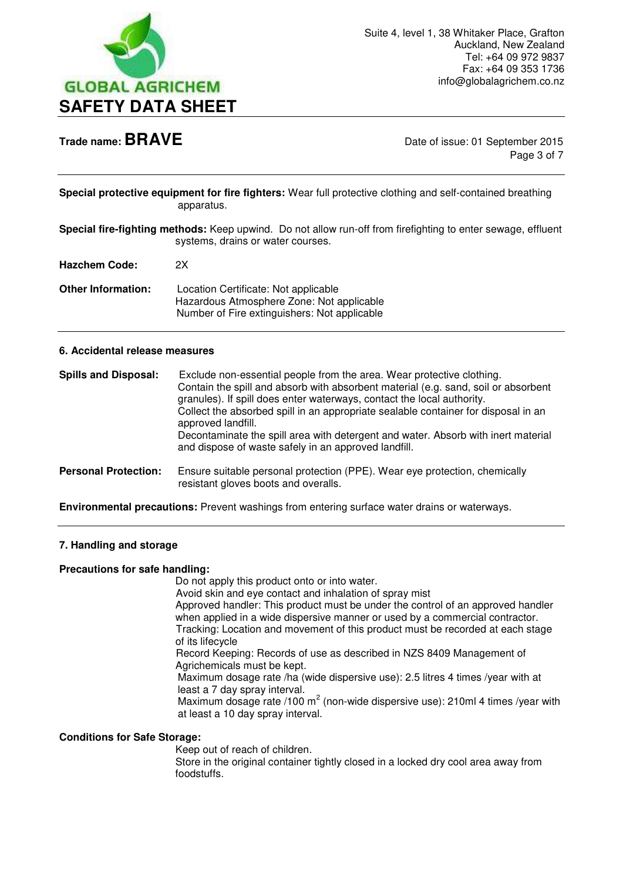

**Trade name: BRAVE** Date of issue: 01 September 2015 Page 3 of 7

|            | Special protective equipment for fire fighters: Wear full protective clothing and self-contained breathing |
|------------|------------------------------------------------------------------------------------------------------------|
| apparatus. |                                                                                                            |

**Special fire-fighting methods:** Keep upwind. Do not allow run-off from firefighting to enter sewage, effluent systems, drains or water courses.

**Hazchem Code:** 2X

**Other Information:** Location Certificate: Not applicable Hazardous Atmosphere Zone: Not applicable Number of Fire extinguishers: Not applicable

## **6. Accidental release measures**

| <b>Spills and Disposal:</b> | Exclude non-essential people from the area. Wear protective clothing.<br>Contain the spill and absorb with absorbent material (e.g. sand, soil or absorbent<br>granules). If spill does enter waterways, contact the local authority.<br>Collect the absorbed spill in an appropriate sealable container for disposal in an<br>approved landfill.<br>Decontaminate the spill area with detergent and water. Absorb with inert material<br>and dispose of waste safely in an approved landfill. |
|-----------------------------|------------------------------------------------------------------------------------------------------------------------------------------------------------------------------------------------------------------------------------------------------------------------------------------------------------------------------------------------------------------------------------------------------------------------------------------------------------------------------------------------|
| <b>Personal Protection:</b> | Ensure suitable personal protection (PPE). Wear eye protection, chemically<br>resistant gloves boots and overalls.                                                                                                                                                                                                                                                                                                                                                                             |

**Environmental precautions:** Prevent washings from entering surface water drains or waterways.

# **7. Handling and storage**

### **Precautions for safe handling:**

Do not apply this product onto or into water.

 Avoid skin and eye contact and inhalation of spray mist Approved handler: This product must be under the control of an approved handler when applied in a wide dispersive manner or used by a commercial contractor. Tracking: Location and movement of this product must be recorded at each stage of its lifecycle

 Record Keeping: Records of use as described in NZS 8409 Management of Agrichemicals must be kept.

 Maximum dosage rate /ha (wide dispersive use): 2.5 litres 4 times /year with at least a 7 day spray interval.

Maximum dosage rate /100 m<sup>2</sup> (non-wide dispersive use): 210ml 4 times /year with at least a 10 day spray interval.

## **Conditions for Safe Storage:**

Keep out of reach of children.

 Store in the original container tightly closed in a locked dry cool area away from foodstuffs.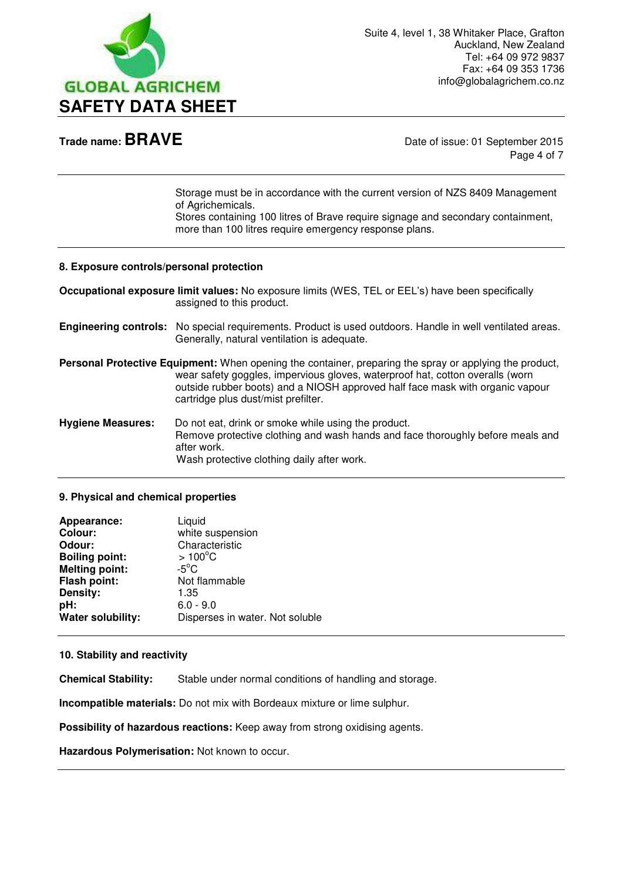

**Trade name: BRAVE** Date of issue: 01 September 2015 Page 4 of 7

> Storage must be in accordance with the current version of NZS 8409 Management of Agrichemicals. Stores containing 100 litres of Brave require signage and secondary containment,

more than 100 litres require emergency response plans.

### **8. Exposure controls/personal protection**

**Occupational exposure limit values:** No exposure limits (WES, TEL or EEL's) have been specifically assigned to this product.

**Engineering controls:** No special requirements. Product is used outdoors. Handle in well ventilated areas. Generally, natural ventilation is adequate.

**Personal Protective Equipment:** When opening the container, preparing the spray or applying the product, wear safety goggles, impervious gloves, waterproof hat, cotton overalls (worn outside rubber boots) and a NIOSH approved half face mask with organic vapour cartridge plus dust/mist prefilter.

**Hygiene Measures:** Do not eat, drink or smoke while using the product. Remove protective clothing and wash hands and face thoroughly before meals and after work. Wash protective clothing daily after work.

### **9. Physical and chemical properties**

| Appearance:           | Liquid                          |
|-----------------------|---------------------------------|
| <b>Colour:</b>        | white suspension                |
| Odour:                | Characteristic                  |
| <b>Boiling point:</b> | $>100^{\circ}$ C                |
| <b>Melting point:</b> | $-5^{\circ}$ C                  |
| Flash point:          | Not flammable                   |
| Density:              | 1.35                            |
| pH:                   | $6.0 - 9.0$                     |
| Water solubility:     | Disperses in water. Not soluble |

## **10. Stability and reactivity**

**Chemical Stability:** Stable under normal conditions of handling and storage.

**Incompatible materials:** Do not mix with Bordeaux mixture or lime sulphur.

**Possibility of hazardous reactions:** Keep away from strong oxidising agents.

**Hazardous Polymerisation:** Not known to occur.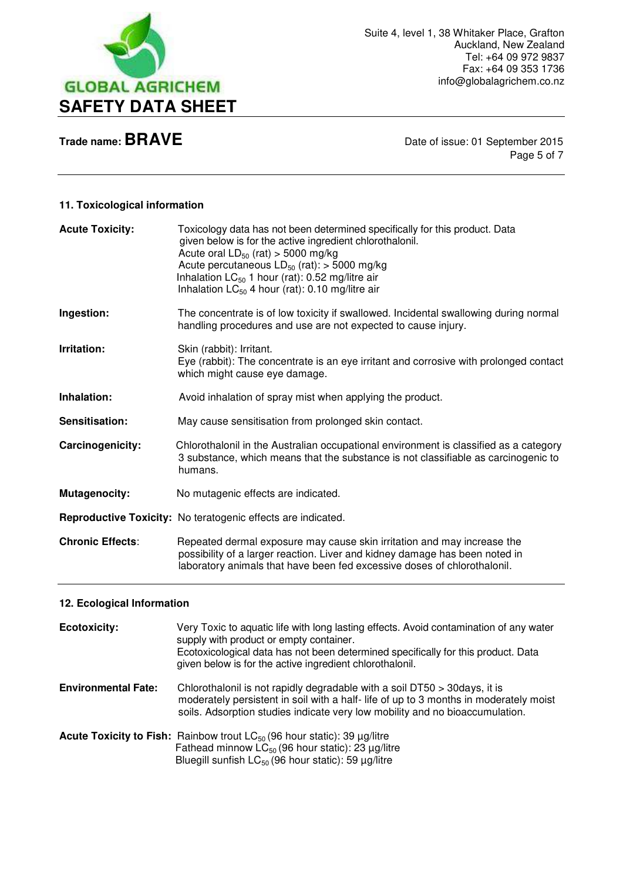

**Trade name: BRAVE Date of issue: 01 September 2015** Page 5 of 7

# **11. Toxicological information**

| <b>Acute Toxicity:</b>  | Toxicology data has not been determined specifically for this product. Data<br>given below is for the active ingredient chlorothalonil.<br>Acute oral $LD_{50}$ (rat) > 5000 mg/kg<br>Acute percutaneous $LD_{50}$ (rat): > 5000 mg/kg<br>Inhalation $LC_{50}$ 1 hour (rat): 0.52 mg/litre air<br>Inhalation $LC_{50}$ 4 hour (rat): 0.10 mg/litre air |
|-------------------------|--------------------------------------------------------------------------------------------------------------------------------------------------------------------------------------------------------------------------------------------------------------------------------------------------------------------------------------------------------|
| Ingestion:              | The concentrate is of low toxicity if swallowed. Incidental swallowing during normal<br>handling procedures and use are not expected to cause injury.                                                                                                                                                                                                  |
| Irritation:             | Skin (rabbit): Irritant.<br>Eye (rabbit): The concentrate is an eye irritant and corrosive with prolonged contact<br>which might cause eye damage.                                                                                                                                                                                                     |
| Inhalation:             | Avoid inhalation of spray mist when applying the product.                                                                                                                                                                                                                                                                                              |
| Sensitisation:          | May cause sensitisation from prolonged skin contact.                                                                                                                                                                                                                                                                                                   |
| Carcinogenicity:        | Chlorothalonil in the Australian occupational environment is classified as a category<br>3 substance, which means that the substance is not classifiable as carcinogenic to<br>humans.                                                                                                                                                                 |
| <b>Mutagenocity:</b>    | No mutagenic effects are indicated.                                                                                                                                                                                                                                                                                                                    |
|                         | Reproductive Toxicity: No teratogenic effects are indicated.                                                                                                                                                                                                                                                                                           |
| <b>Chronic Effects:</b> | Repeated dermal exposure may cause skin irritation and may increase the<br>possibility of a larger reaction. Liver and kidney damage has been noted in<br>laboratory animals that have been fed excessive doses of chlorothalonil.                                                                                                                     |

# **12. Ecological Information**

| <b>Ecotoxicity:</b>        | Very Toxic to aquatic life with long lasting effects. Avoid contamination of any water<br>supply with product or empty container.<br>Ecotoxicological data has not been determined specifically for this product. Data<br>given below is for the active ingredient chlorothalonil. |
|----------------------------|------------------------------------------------------------------------------------------------------------------------------------------------------------------------------------------------------------------------------------------------------------------------------------|
| <b>Environmental Fate:</b> | Chlorothalonil is not rapidly degradable with a soil DT50 > 30days, it is<br>moderately persistent in soil with a half-life of up to 3 months in moderately moist<br>soils. Adsorption studies indicate very low mobility and no bioaccumulation.                                  |
|                            | <b>Acute Toxicity to Fish:</b> Rainbow trout $LC_{50}$ (96 hour static): 39 $\mu$ g/litre<br>Fathead minnow $LC_{50}$ (96 hour static): 23 $\mu$ g/litre<br>Bluegill sunfish $LC_{50}$ (96 hour static): 59 $\mu$ g/litre                                                          |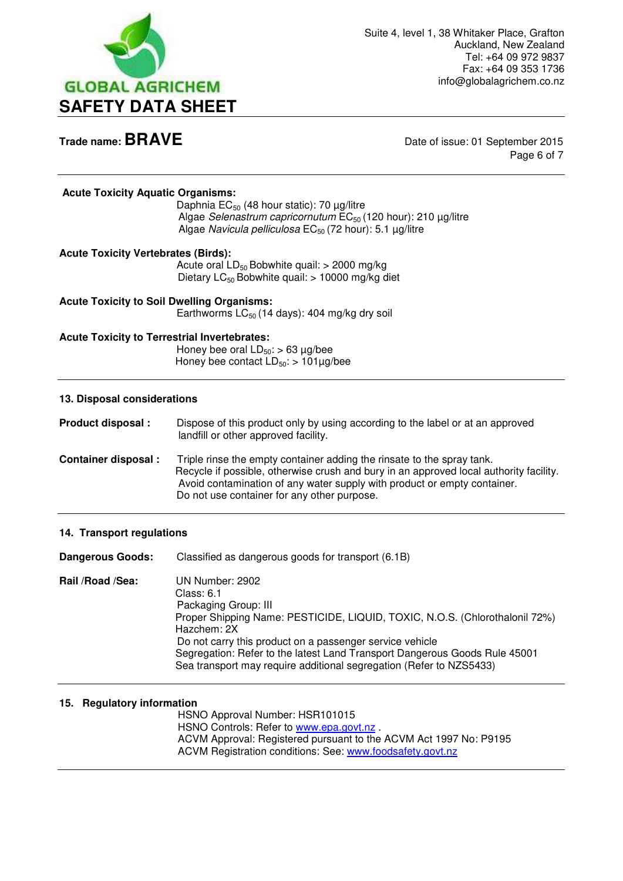

**Trade name: BRAVE** Date of issue: 01 September 2015 Page 6 of 7

### **Acute Toxicity Aquatic Organisms:**

Daphnia  $EC_{50}$  (48 hour static): 70 µg/litre Algae *Selenastrum capricornutum* EC<sub>50</sub> (120 hour): 210 μg/litre Algae *Navicula pelliculosa* EC<sub>50</sub> (72 hour): 5.1 µg/litre

### **Acute Toxicity Vertebrates (Birds):**

Acute oral  $LD_{50}$  Bobwhite quail:  $> 2000$  mg/kg Dietary  $LC_{50}$  Bobwhite quail:  $> 10000$  mg/kg diet

**Acute Toxicity to Soil Dwelling Organisms:**  Earthworms  $LC_{50}$  (14 days): 404 mg/kg dry soil

### **Acute Toxicity to Terrestrial Invertebrates:**

Honey bee oral  $LD_{50}$ : > 63 µg/bee Honey bee contact  $LD_{50}$ : > 101µg/bee

### **13. Disposal considerations**

**Product disposal :** Dispose of this product only by using according to the label or at an approved landfill or other approved facility. **Container disposal :** Triple rinse the empty container adding the rinsate to the spray tank. Recycle if possible, otherwise crush and bury in an approved local authority facility. Avoid contamination of any water supply with product or empty container. Do not use container for any other purpose.

### **14. Transport regulations**

**Dangerous Goods:** Classified as dangerous goods for transport (6.1B) **Rail /Road /Sea:** UN Number: 2902 Class: 6.1 Packaging Group: III Proper Shipping Name: PESTICIDE, LIQUID, TOXIC, N.O.S. (Chlorothalonil 72%) Hazchem: 2X Do not carry this product on a passenger service vehicle Segregation: Refer to the latest Land Transport Dangerous Goods Rule 45001 Sea transport may require additional segregation (Refer to NZS5433)

### **15. Regulatory information**

 HSNO Approval Number: HSR101015 HSNO Controls: Refer to [www.epa.govt.nz](http://www.epa.govt.nz/) . ACVM Approval: Registered pursuant to the ACVM Act 1997 No: P9195 ACVM Registration conditions: See: [www.foodsafety.govt.nz](http://www.foodsafety.govt.nz/)